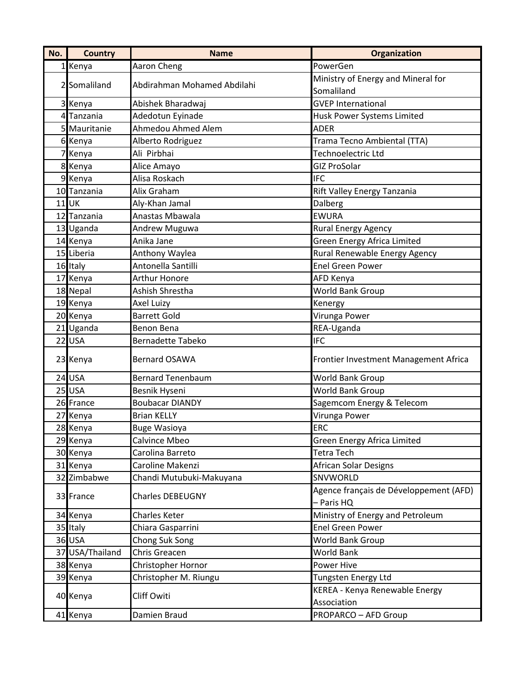| No. | <b>Country</b>  | <b>Name</b>                 | Organization                                         |
|-----|-----------------|-----------------------------|------------------------------------------------------|
|     | 1 Kenya         | Aaron Cheng                 | PowerGen                                             |
|     |                 |                             | Ministry of Energy and Mineral for                   |
|     | 2 Somaliland    | Abdirahman Mohamed Abdilahi | Somaliland                                           |
|     | 3 Kenya         | Abishek Bharadwaj           | <b>GVEP International</b>                            |
|     | 4 Tanzania      | Adedotun Eyinade            | Husk Power Systems Limited                           |
|     | 5 Mauritanie    | Ahmedou Ahmed Alem          | <b>ADER</b>                                          |
|     | 6 Kenya         | Alberto Rodriguez           | Trama Tecno Ambiental (TTA)                          |
|     | 7 Kenya         | Ali Pirbhai                 | Technoelectric Ltd                                   |
|     | 8 Kenya         | Alice Amayo                 | <b>GIZ ProSolar</b>                                  |
|     | 9 Kenya         | Alisa Roskach               | <b>IFC</b>                                           |
|     | 10 Tanzania     | Alix Graham                 | Rift Valley Energy Tanzania                          |
|     | $11$ UK         | Aly-Khan Jamal              | Dalberg                                              |
|     | 12 Tanzania     | Anastas Mbawala             | <b>EWURA</b>                                         |
|     | 13 Uganda       | Andrew Muguwa               | Rural Energy Agency                                  |
|     | 14 Kenya        | Anika Jane                  | <b>Green Energy Africa Limited</b>                   |
|     | 15 Liberia      | Anthony Waylea              | Rural Renewable Energy Agency                        |
|     | 16 Italy        | Antonella Santilli          | <b>Enel Green Power</b>                              |
|     | 17 Kenya        | <b>Arthur Honore</b>        | AFD Kenya                                            |
|     | 18 Nepal        | Ashish Shrestha             | World Bank Group                                     |
|     | 19 Kenya        | Axel Luizy                  | Kenergy                                              |
|     | 20 Kenya        | <b>Barrett Gold</b>         | Virunga Power                                        |
|     | 21 Uganda       | Benon Bena                  | REA-Uganda                                           |
|     | 22 USA          | <b>Bernadette Tabeko</b>    | <b>IFC</b>                                           |
|     | 23 Kenya        | <b>Bernard OSAWA</b>        | Frontier Investment Management Africa                |
|     | $24$ USA        | <b>Bernard Tenenbaum</b>    | <b>World Bank Group</b>                              |
|     | $25$ USA        | Besnik Hyseni               | <b>World Bank Group</b>                              |
|     | 26 France       | <b>Boubacar DIANDY</b>      | Sagemcom Energy & Telecom                            |
|     | 27 Kenya        | <b>Brian KELLY</b>          | Virunga Power                                        |
|     | 28 Kenya        | <b>Buge Wasioya</b>         | <b>ERC</b>                                           |
|     | 29 Kenya        | Calvince Mbeo               | Green Energy Africa Limited                          |
|     | 30 Kenya        | Carolina Barreto            | Tetra Tech                                           |
|     | 31 Kenya        | Caroline Makenzi            | African Solar Designs                                |
|     | 32 Zimbabwe     | Chandi Mutubuki-Makuyana    | SNVWORLD                                             |
|     | 33 France       | <b>Charles DEBEUGNY</b>     | Agence français de Développement (AFD)<br>- Paris HQ |
|     | 34 Kenya        | <b>Charles Keter</b>        | Ministry of Energy and Petroleum                     |
|     | 35 Italy        | Chiara Gasparrini           | <b>Enel Green Power</b>                              |
|     | 36 USA          | Chong Suk Song              | World Bank Group                                     |
|     | 37 USA/Thailand | Chris Greacen               | World Bank                                           |
|     | 38 Kenya        | Christopher Hornor          | Power Hive                                           |
|     | 39 Kenya        | Christopher M. Riungu       | Tungsten Energy Ltd                                  |
|     | 40 Kenya        | Cliff Owiti                 | KEREA - Kenya Renewable Energy<br>Association        |
|     | 41 Kenya        | Damien Braud                | <b>PROPARCO - AFD Group</b>                          |
|     |                 |                             |                                                      |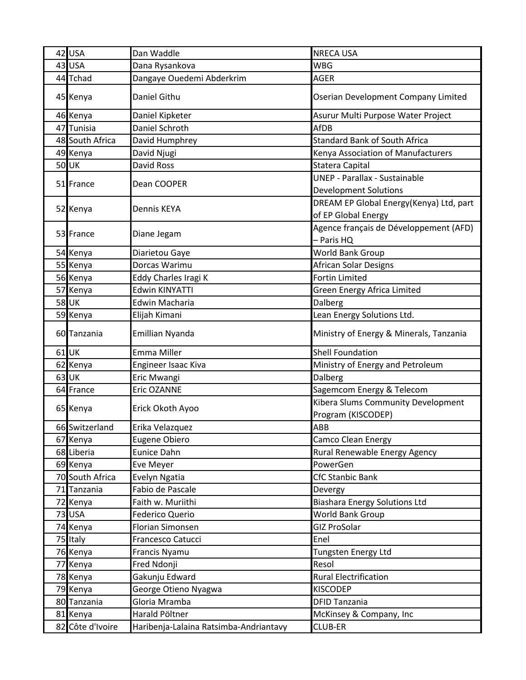| 42 USA           | Dan Waddle                             | <b>NRECA USA</b>                                                     |
|------------------|----------------------------------------|----------------------------------------------------------------------|
| 43 USA           | Dana Rysankova                         | <b>WBG</b>                                                           |
| 44 Tchad         | Dangaye Ouedemi Abderkrim              | <b>AGER</b>                                                          |
| 45 Kenya         | Daniel Githu                           | Oserian Development Company Limited                                  |
| 46 Kenya         | Daniel Kipketer                        | Asurur Multi Purpose Water Project                                   |
| 47 Tunisia       | Daniel Schroth                         | AfDB                                                                 |
| 48 South Africa  | David Humphrey                         | <b>Standard Bank of South Africa</b>                                 |
| 49 Kenya         | David Njugi                            | Kenya Association of Manufacturers                                   |
| 50UK             | David Ross                             | Statera Capital                                                      |
| 51 France        | Dean COOPER                            | <b>UNEP - Parallax - Sustainable</b><br><b>Development Solutions</b> |
| 52 Kenya         | Dennis KEYA                            | DREAM EP Global Energy(Kenya) Ltd, part<br>of EP Global Energy       |
| 53 France        | Diane Jegam                            | Agence français de Développement (AFD)<br>- Paris HQ                 |
| 54 Kenya         | Diarietou Gaye                         | World Bank Group                                                     |
| 55 Kenya         | Dorcas Warimu                          | African Solar Designs                                                |
| 56 Kenya         | Eddy Charles Iragi K                   | <b>Fortin Limited</b>                                                |
| 57 Kenya         | <b>Edwin KINYATTI</b>                  | Green Energy Africa Limited                                          |
| <b>58 UK</b>     | Edwin Macharia                         | Dalberg                                                              |
| 59 Kenya         | Elijah Kimani                          | Lean Energy Solutions Ltd.                                           |
| 60 Tanzania      | Emillian Nyanda                        | Ministry of Energy & Minerals, Tanzania                              |
| 61 UK            | Emma Miller                            | <b>Shell Foundation</b>                                              |
| 62 Kenya         | Engineer Isaac Kiva                    | Ministry of Energy and Petroleum                                     |
| $63$ UK          | Eric Mwangi                            | Dalberg                                                              |
| 64 France        | Eric OZANNE                            | Sagemcom Energy & Telecom                                            |
| 65 Kenya         | Erick Okoth Ayoo                       | Kibera Slums Community Development<br>Program (KISCODEP)             |
| 66 Switzerland   | Erika Velazquez                        | ABB                                                                  |
| 67 Kenya         | Eugene Obiero                          | Camco Clean Energy                                                   |
| 68 Liberia       | Eunice Dahn                            | Rural Renewable Energy Agency                                        |
| 69 Kenya         | Eve Meyer                              | PowerGen                                                             |
| 70 South Africa  | Evelyn Ngatia                          | <b>CfC Stanbic Bank</b>                                              |
| 71 Tanzania      | Fabio de Pascale                       | Devergy                                                              |
| 72 Kenya         | Faith w. Muriithi                      | <b>Biashara Energy Solutions Ltd</b>                                 |
| <b>73 USA</b>    | Federico Querio                        | World Bank Group                                                     |
| 74 Kenya         | <b>Florian Simonsen</b>                | <b>GIZ ProSolar</b>                                                  |
| 75 Italy         | Francesco Catucci                      | Enel                                                                 |
| 76 Kenya         | Francis Nyamu                          | Tungsten Energy Ltd                                                  |
| 77 Kenya         | Fred Ndonji                            | Resol                                                                |
| 78 Kenya         | Gakunju Edward                         | <b>Rural Electrification</b>                                         |
| 79 Kenya         | George Otieno Nyagwa                   | <b>KISCODEP</b>                                                      |
| 80 Tanzania      | Gloria Mramba                          | <b>DFID Tanzania</b>                                                 |
| 81 Kenya         | Harald Pöltner                         | McKinsey & Company, Inc                                              |
| 82 Côte d'Ivoire | Haribenja-Lalaina Ratsimba-Andriantavy | CLUB-ER                                                              |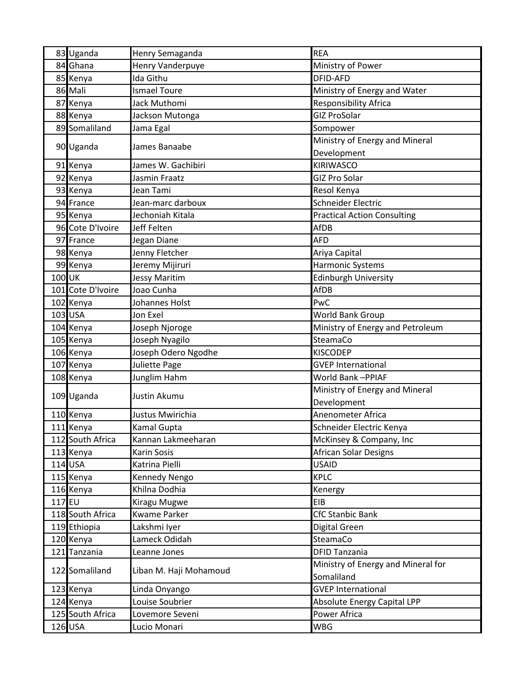|        | 83 Uganda         | Henry Semaganda        | <b>REA</b>                                       |
|--------|-------------------|------------------------|--------------------------------------------------|
|        | 84 Ghana          | Henry Vanderpuye       | Ministry of Power                                |
|        | 85 Kenya          | Ida Githu              | <b>DFID-AFD</b>                                  |
|        | 86 Mali           | <b>Ismael Toure</b>    | Ministry of Energy and Water                     |
|        | 87 Kenya          | Jack Muthomi           | <b>Responsibility Africa</b>                     |
|        | 88 Kenya          | Jackson Mutonga        | <b>GIZ ProSolar</b>                              |
|        | 89 Somaliland     | Jama Egal              | Sompower                                         |
|        |                   |                        | Ministry of Energy and Mineral                   |
|        | 90 Uganda         | James Banaabe          | Development                                      |
|        | 91 Kenya          | James W. Gachibiri     | <b>KIRIWASCO</b>                                 |
|        | 92 Kenya          | Jasmin Fraatz          | <b>GIZ Pro Solar</b>                             |
|        | 93 Kenya          | Jean Tami              | Resol Kenya                                      |
|        | 94 France         | Jean-marc darboux      | Schneider Electric                               |
|        | 95 Kenya          | Jechoniah Kitala       | <b>Practical Action Consulting</b>               |
|        | 96 Cote D'Ivoire  | Jeff Felten            | <b>AfDB</b>                                      |
|        | 97 France         | Jegan Diane            | <b>AFD</b>                                       |
|        | 98 Kenya          | Jenny Fletcher         | Ariya Capital                                    |
|        | 99 Kenya          | Jeremy Mijiruri        | Harmonic Systems                                 |
| 100 UK |                   | <b>Jessy Maritim</b>   | <b>Edinburgh University</b>                      |
|        | 101 Cote D'Ivoire | Joao Cunha             | <b>AfDB</b>                                      |
|        | 102 Kenya         | Johannes Holst         | PwC                                              |
|        | 103 USA           | Jon Exel               | World Bank Group                                 |
|        | 104 Kenya         | Joseph Njoroge         | Ministry of Energy and Petroleum                 |
|        | 105 Kenya         | Joseph Nyagilo         | SteamaCo                                         |
|        | 106 Kenya         | Joseph Odero Ngodhe    | <b>KISCODEP</b>                                  |
|        | 107 Kenya         | Juliette Page          | <b>GVEP International</b>                        |
|        | 108 Kenya         | Junglim Hahm           | World Bank-PPIAF                                 |
|        |                   | Justin Akumu           | Ministry of Energy and Mineral                   |
|        | 109 Uganda        |                        | Development                                      |
|        | 110 Kenya         | Justus Mwirichia       | Anenometer Africa                                |
|        | 111 Kenya         | <b>Kamal Gupta</b>     | Schneider Electric Kenya                         |
|        | 112 South Africa  | Kannan Lakmeeharan     | McKinsey & Company, Inc                          |
|        | 113 Kenya         | Karin Sosis            | <b>African Solar Designs</b>                     |
|        | 114 USA           | Katrina Pielli         | <b>USAID</b>                                     |
|        | 115 Kenya         | Kennedy Nengo          | <b>KPLC</b>                                      |
|        | 116 Kenya         | Khilna Dodhia          | Kenergy                                          |
| 117 EU |                   | Kiragu Mugwe           | EIB                                              |
|        | 118 South Africa  | <b>Kwame Parker</b>    | <b>CfC Stanbic Bank</b>                          |
|        | 119 Ethiopia      | Lakshmi Iyer           | Digital Green                                    |
|        | 120 Kenya         | Lameck Odidah          | SteamaCo                                         |
|        | 121 Tanzania      | Leanne Jones           | <b>DFID Tanzania</b>                             |
|        | 122 Somaliland    | Liban M. Haji Mohamoud | Ministry of Energy and Mineral for<br>Somaliland |
|        | 123 Kenya         | Linda Onyango          | <b>GVEP International</b>                        |
|        | 124 Kenya         | Louise Soubrier        | <b>Absolute Energy Capital LPP</b>               |
|        | 125 South Africa  | Lovemore Seveni        | Power Africa                                     |
|        | 126 USA           | Lucio Monari           | <b>WBG</b>                                       |
|        |                   |                        |                                                  |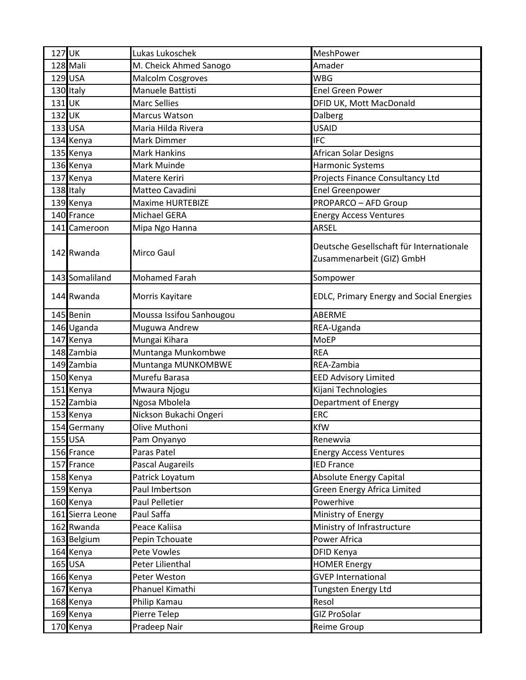| 127 UK |                  | Lukas Lukoschek          | MeshPower                                                             |
|--------|------------------|--------------------------|-----------------------------------------------------------------------|
|        | 128 Mali         | M. Cheick Ahmed Sanogo   | Amader                                                                |
|        | 129 USA          | <b>Malcolm Cosgroves</b> | <b>WBG</b>                                                            |
|        | 130 Italy        | Manuele Battisti         | <b>Enel Green Power</b>                                               |
| 131UK  |                  | <b>Marc Sellies</b>      | DFID UK, Mott MacDonald                                               |
| 132 UK |                  | Marcus Watson            | Dalberg                                                               |
|        | 133 USA          | Maria Hilda Rivera       | <b>USAID</b>                                                          |
|        | 134 Kenya        | Mark Dimmer              | <b>IFC</b>                                                            |
|        | 135 Kenya        | <b>Mark Hankins</b>      | African Solar Designs                                                 |
|        | 136 Kenya        | Mark Muinde              | Harmonic Systems                                                      |
|        | 137 Kenya        | Matere Keriri            | Projects Finance Consultancy Ltd                                      |
|        | 138 Italy        | Matteo Cavadini          | <b>Enel Greenpower</b>                                                |
|        | 139 Kenya        | <b>Maxime HURTEBIZE</b>  | <b>PROPARCO - AFD Group</b>                                           |
|        | 140 France       | <b>Michael GERA</b>      | <b>Energy Access Ventures</b>                                         |
|        | 141 Cameroon     | Mipa Ngo Hanna           | <b>ARSEL</b>                                                          |
|        |                  |                          |                                                                       |
|        | 142 Rwanda       | Mirco Gaul               | Deutsche Gesellschaft für Internationale<br>Zusammenarbeit (GIZ) GmbH |
|        |                  |                          |                                                                       |
|        | 143 Somaliland   | <b>Mohamed Farah</b>     | Sompower                                                              |
|        | 144 Rwanda       | Morris Kayitare          | <b>EDLC, Primary Energy and Social Energies</b>                       |
|        | 145 Benin        | Moussa Issifou Sanhougou | <b>ABERME</b>                                                         |
|        | 146 Uganda       | Muguwa Andrew            | REA-Uganda                                                            |
|        | 147 Kenya        | Mungai Kihara            | <b>MoEP</b>                                                           |
|        | 148 Zambia       | Muntanga Munkombwe       | <b>REA</b>                                                            |
|        | 149 Zambia       | Muntanga MUNKOMBWE       | REA-Zambia                                                            |
|        | 150 Kenya        | Murefu Barasa            | <b>EED Advisory Limited</b>                                           |
|        | 151 Kenya        | Mwaura Njogu             | Kijani Technologies                                                   |
|        | 152 Zambia       | Ngosa Mbolela            | Department of Energy                                                  |
|        | 153 Kenya        | Nickson Bukachi Ongeri   | ERC                                                                   |
|        | 154 Germany      | Olive Muthoni            | <b>KfW</b>                                                            |
|        | 155 USA          | Pam Onyanyo              | Renewvia                                                              |
|        | 156 France       | Paras Patel              | <b>Energy Access Ventures</b>                                         |
|        | 157 France       | Pascal Augareils         | <b>IED France</b>                                                     |
|        | 158 Kenya        | Patrick Loyatum          | <b>Absolute Energy Capital</b>                                        |
|        | 159 Kenya        | Paul Imbertson           | Green Energy Africa Limited                                           |
|        | 160 Kenya        | Paul Pelletier           | Powerhive                                                             |
|        | 161 Sierra Leone | Paul Saffa               | Ministry of Energy                                                    |
|        | 162 Rwanda       | Peace Kaliisa            | Ministry of Infrastructure                                            |
|        | 163 Belgium      | Pepin Tchouate           | Power Africa                                                          |
|        | 164 Kenya        | Pete Vowles              | <b>DFID Kenya</b>                                                     |
|        | 165 USA          | Peter Lilienthal         | <b>HOMER Energy</b>                                                   |
|        | 166 Kenya        | Peter Weston             | <b>GVEP International</b>                                             |
|        | 167 Kenya        | Phanuel Kimathi          | Tungsten Energy Ltd                                                   |
|        | 168 Kenya        | Philip Kamau             | Resol                                                                 |
|        | 169 Kenya        | Pierre Telep             | <b>GIZ ProSolar</b>                                                   |
|        | 170 Kenya        | Pradeep Nair             | <b>Reime Group</b>                                                    |